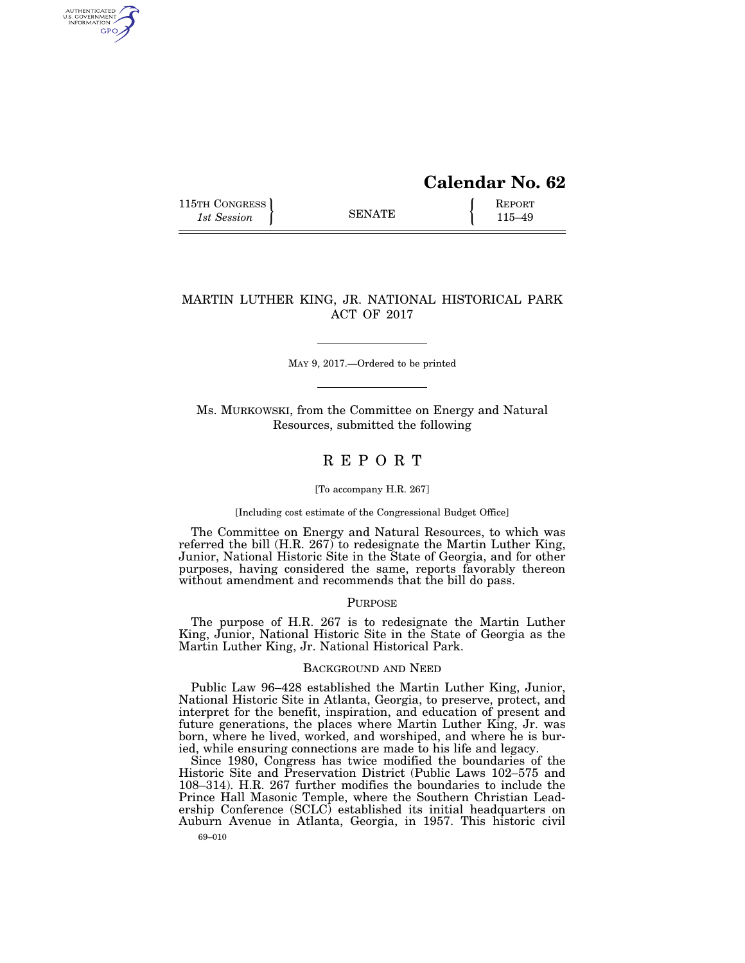# **Calendar No. 62**

115TH CONGRESS REPORT 115 SENATE **REPORT** 

AUTHENTICATED<br>U.S. GOVERNMENT<br>INFORMATION GPO

## MARTIN LUTHER KING, JR. NATIONAL HISTORICAL PARK ACT OF 2017

MAY 9, 2017.—Ordered to be printed

Ms. MURKOWSKI, from the Committee on Energy and Natural Resources, submitted the following

# R E P O R T

## [To accompany H.R. 267]

#### [Including cost estimate of the Congressional Budget Office]

The Committee on Energy and Natural Resources, to which was referred the bill (H.R. 267) to redesignate the Martin Luther King, Junior, National Historic Site in the State of Georgia, and for other purposes, having considered the same, reports favorably thereon without amendment and recommends that the bill do pass.

## PURPOSE

The purpose of H.R. 267 is to redesignate the Martin Luther King, Junior, National Historic Site in the State of Georgia as the Martin Luther King, Jr. National Historical Park.

## BACKGROUND AND NEED

Public Law 96–428 established the Martin Luther King, Junior, National Historic Site in Atlanta, Georgia, to preserve, protect, and interpret for the benefit, inspiration, and education of present and future generations, the places where Martin Luther King, Jr. was born, where he lived, worked, and worshiped, and where he is buried, while ensuring connections are made to his life and legacy.

69–010 Since 1980, Congress has twice modified the boundaries of the Historic Site and Preservation District (Public Laws 102–575 and 108–314). H.R. 267 further modifies the boundaries to include the Prince Hall Masonic Temple, where the Southern Christian Leadership Conference (SCLC) established its initial headquarters on Auburn Avenue in Atlanta, Georgia, in 1957. This historic civil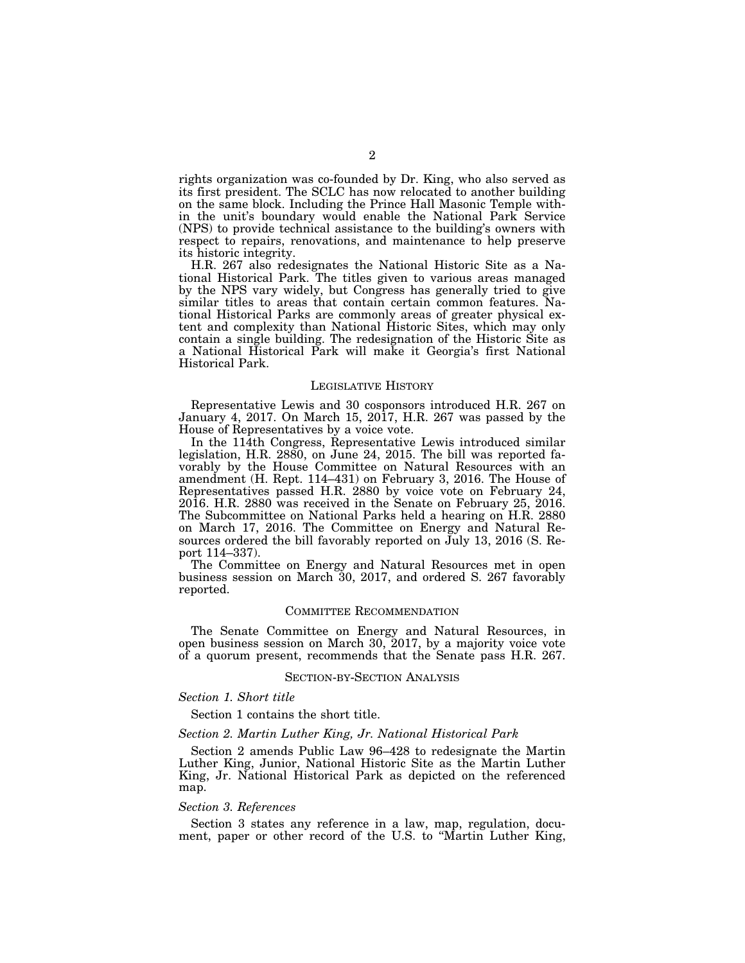rights organization was co-founded by Dr. King, who also served as its first president. The SCLC has now relocated to another building on the same block. Including the Prince Hall Masonic Temple within the unit's boundary would enable the National Park Service (NPS) to provide technical assistance to the building's owners with respect to repairs, renovations, and maintenance to help preserve its historic integrity.

H.R. 267 also redesignates the National Historic Site as a National Historical Park. The titles given to various areas managed by the NPS vary widely, but Congress has generally tried to give similar titles to areas that contain certain common features. National Historical Parks are commonly areas of greater physical extent and complexity than National Historic Sites, which may only contain a single building. The redesignation of the Historic Site as a National Historical Park will make it Georgia's first National Historical Park.

## LEGISLATIVE HISTORY

Representative Lewis and 30 cosponsors introduced H.R. 267 on January 4, 2017. On March 15, 2017, H.R. 267 was passed by the House of Representatives by a voice vote.

In the 114th Congress, Representative Lewis introduced similar legislation, H.R. 2880, on June 24, 2015. The bill was reported favorably by the House Committee on Natural Resources with an amendment (H. Rept. 114–431) on February 3, 2016. The House of Representatives passed H.R. 2880 by voice vote on February 24, 2016. H.R. 2880 was received in the Senate on February 25, 2016. The Subcommittee on National Parks held a hearing on H.R. 2880 on March 17, 2016. The Committee on Energy and Natural Resources ordered the bill favorably reported on  $\tilde{J}$ uly 13, 2016 (S. Report 114–337).

The Committee on Energy and Natural Resources met in open business session on March 30, 2017, and ordered S. 267 favorably reported.

## COMMITTEE RECOMMENDATION

The Senate Committee on Energy and Natural Resources, in open business session on March 30, 2017, by a majority voice vote of a quorum present, recommends that the Senate pass H.R. 267.

#### SECTION-BY-SECTION ANALYSIS

## *Section 1. Short title*

Section 1 contains the short title.

## *Section 2. Martin Luther King, Jr. National Historical Park*

Section 2 amends Public Law 96–428 to redesignate the Martin Luther King, Junior, National Historic Site as the Martin Luther King, Jr. National Historical Park as depicted on the referenced map.

#### *Section 3. References*

Section 3 states any reference in a law, map, regulation, document, paper or other record of the U.S. to ''Martin Luther King,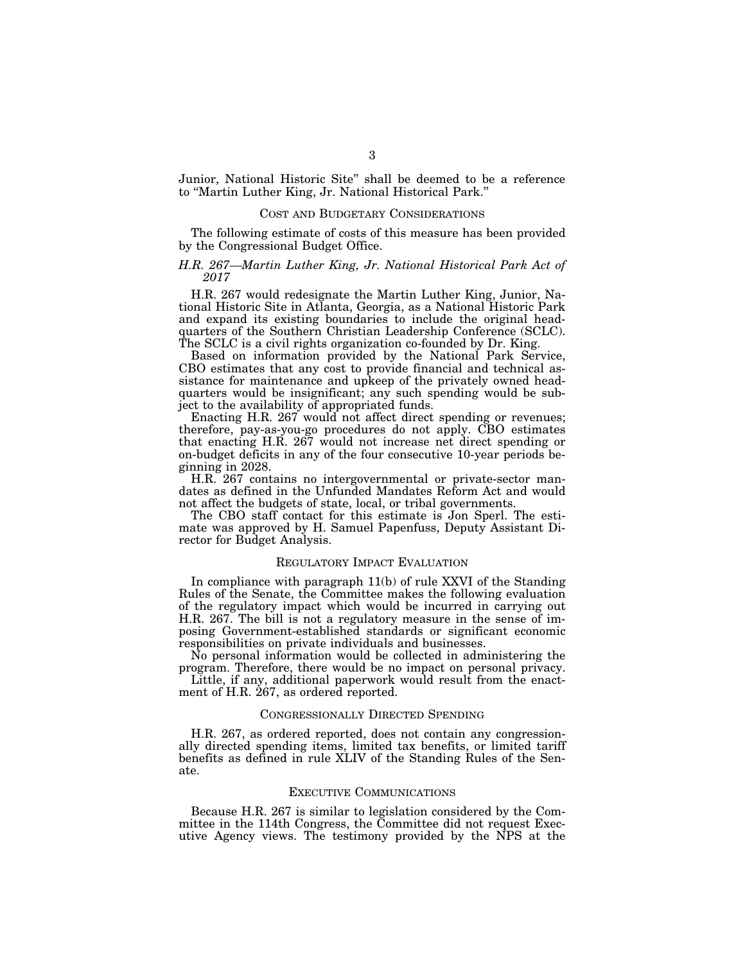Junior, National Historic Site'' shall be deemed to be a reference to ''Martin Luther King, Jr. National Historical Park.''

#### COST AND BUDGETARY CONSIDERATIONS

The following estimate of costs of this measure has been provided by the Congressional Budget Office.

## *H.R. 267—Martin Luther King, Jr. National Historical Park Act of 2017*

H.R. 267 would redesignate the Martin Luther King, Junior, National Historic Site in Atlanta, Georgia, as a National Historic Park and expand its existing boundaries to include the original headquarters of the Southern Christian Leadership Conference (SCLC). The SCLC is a civil rights organization co-founded by Dr. King.

Based on information provided by the National Park Service, CBO estimates that any cost to provide financial and technical assistance for maintenance and upkeep of the privately owned headquarters would be insignificant; any such spending would be subject to the availability of appropriated funds.

Enacting H.R. 267 would not affect direct spending or revenues; therefore, pay-as-you-go procedures do not apply. CBO estimates that enacting H.R. 267 would not increase net direct spending or on-budget deficits in any of the four consecutive 10-year periods beginning in 2028.

H.R. 267 contains no intergovernmental or private-sector mandates as defined in the Unfunded Mandates Reform Act and would not affect the budgets of state, local, or tribal governments.

The CBO staff contact for this estimate is Jon Sperl. The estimate was approved by H. Samuel Papenfuss, Deputy Assistant Director for Budget Analysis.

## REGULATORY IMPACT EVALUATION

In compliance with paragraph 11(b) of rule XXVI of the Standing Rules of the Senate, the Committee makes the following evaluation of the regulatory impact which would be incurred in carrying out H.R. 267. The bill is not a regulatory measure in the sense of imposing Government-established standards or significant economic responsibilities on private individuals and businesses.

No personal information would be collected in administering the program. Therefore, there would be no impact on personal privacy.

Little, if any, additional paperwork would result from the enactment of H.R. 267, as ordered reported.

## CONGRESSIONALLY DIRECTED SPENDING

H.R. 267, as ordered reported, does not contain any congressionally directed spending items, limited tax benefits, or limited tariff benefits as defined in rule XLIV of the Standing Rules of the Senate.

## EXECUTIVE COMMUNICATIONS

Because H.R. 267 is similar to legislation considered by the Committee in the 114th Congress, the Committee did not request Executive Agency views. The testimony provided by the NPS at the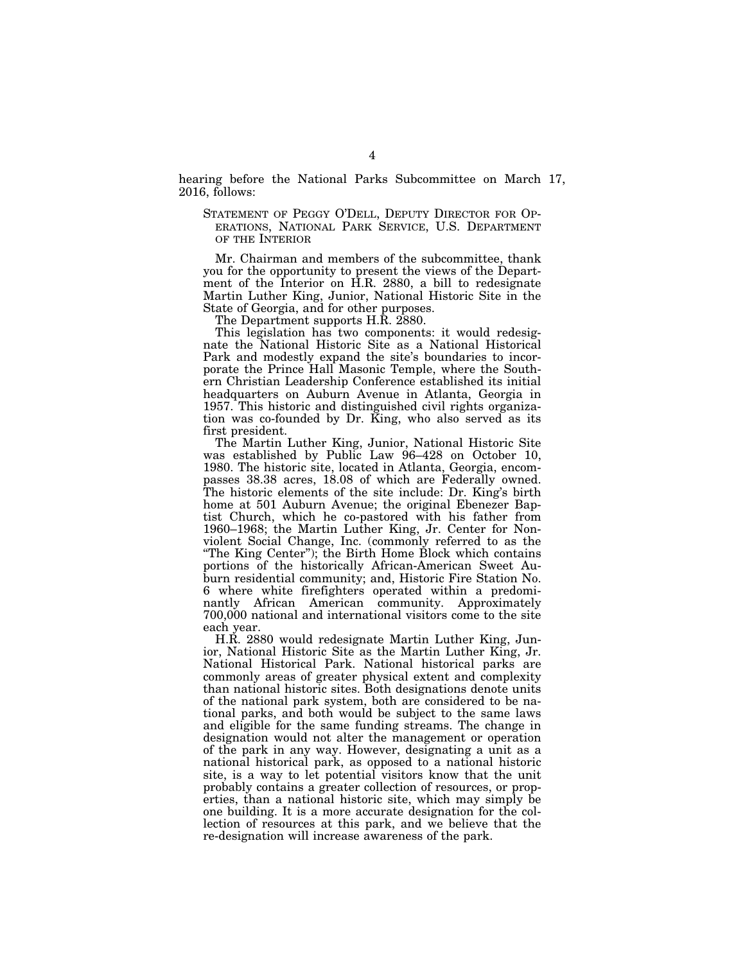hearing before the National Parks Subcommittee on March 17, 2016, follows:

STATEMENT OF PEGGY O'DELL, DEPUTY DIRECTOR FOR OP-ERATIONS, NATIONAL PARK SERVICE, U.S. DEPARTMENT OF THE INTERIOR

Mr. Chairman and members of the subcommittee, thank you for the opportunity to present the views of the Department of the Interior on H.R. 2880, a bill to redesignate Martin Luther King, Junior, National Historic Site in the State of Georgia, and for other purposes.

The Department supports H.R. 2880.

This legislation has two components: it would redesignate the National Historic Site as a National Historical Park and modestly expand the site's boundaries to incorporate the Prince Hall Masonic Temple, where the Southern Christian Leadership Conference established its initial headquarters on Auburn Avenue in Atlanta, Georgia in 1957. This historic and distinguished civil rights organization was co-founded by Dr. King, who also served as its first president.

The Martin Luther King, Junior, National Historic Site was established by Public Law 96–428 on October 10, 1980. The historic site, located in Atlanta, Georgia, encompasses 38.38 acres, 18.08 of which are Federally owned. The historic elements of the site include: Dr. King's birth home at 501 Auburn Avenue; the original Ebenezer Baptist Church, which he co-pastored with his father from 1960–1968; the Martin Luther King, Jr. Center for Nonviolent Social Change, Inc. (commonly referred to as the ''The King Center''); the Birth Home Block which contains portions of the historically African-American Sweet Auburn residential community; and, Historic Fire Station No. 6 where white firefighters operated within a predominantly African American community. Approximately 700,000 national and international visitors come to the site each year.

H.R. 2880 would redesignate Martin Luther King, Junior, National Historic Site as the Martin Luther King, Jr. National Historical Park. National historical parks are commonly areas of greater physical extent and complexity than national historic sites. Both designations denote units of the national park system, both are considered to be national parks, and both would be subject to the same laws and eligible for the same funding streams. The change in designation would not alter the management or operation of the park in any way. However, designating a unit as a national historical park, as opposed to a national historic site, is a way to let potential visitors know that the unit probably contains a greater collection of resources, or properties, than a national historic site, which may simply be one building. It is a more accurate designation for the collection of resources at this park, and we believe that the re-designation will increase awareness of the park.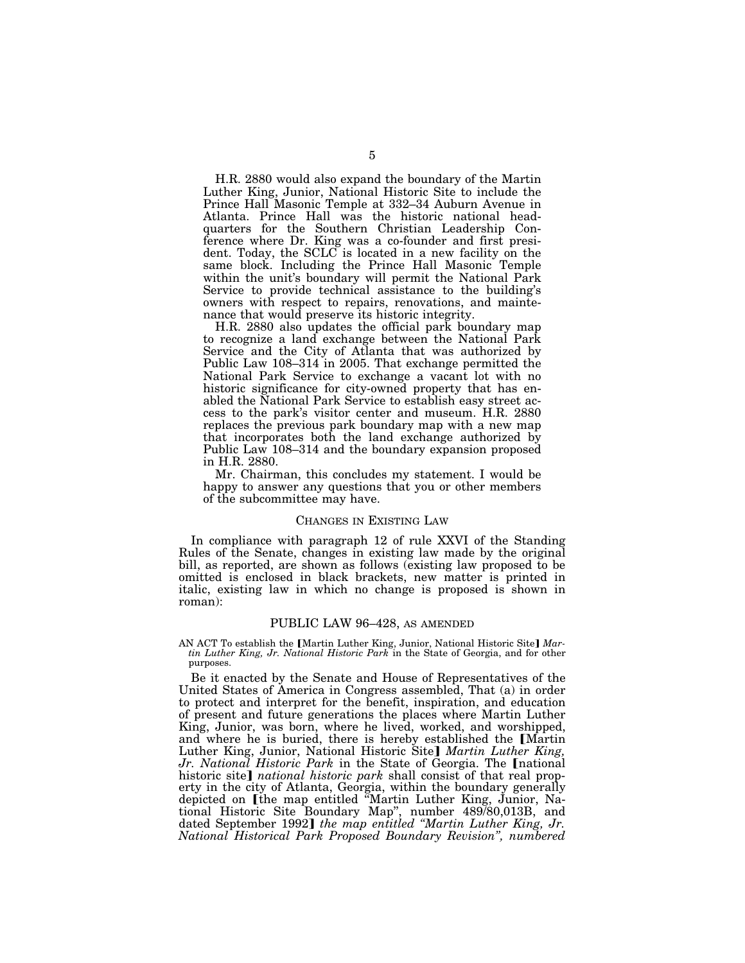H.R. 2880 would also expand the boundary of the Martin Luther King, Junior, National Historic Site to include the Prince Hall Masonic Temple at 332–34 Auburn Avenue in Atlanta. Prince Hall was the historic national headquarters for the Southern Christian Leadership Conference where Dr. King was a co-founder and first president. Today, the SCLC is located in a new facility on the same block. Including the Prince Hall Masonic Temple within the unit's boundary will permit the National Park Service to provide technical assistance to the building's owners with respect to repairs, renovations, and maintenance that would preserve its historic integrity.

H.R. 2880 also updates the official park boundary map to recognize a land exchange between the National Park Service and the City of Atlanta that was authorized by Public Law 108–314 in 2005. That exchange permitted the National Park Service to exchange a vacant lot with no historic significance for city-owned property that has enabled the National Park Service to establish easy street access to the park's visitor center and museum. H.R. 2880 replaces the previous park boundary map with a new map that incorporates both the land exchange authorized by Public Law 108–314 and the boundary expansion proposed in H.R. 2880.

Mr. Chairman, this concludes my statement. I would be happy to answer any questions that you or other members of the subcommittee may have.

#### CHANGES IN EXISTING LAW

In compliance with paragraph 12 of rule XXVI of the Standing Rules of the Senate, changes in existing law made by the original bill, as reported, are shown as follows (existing law proposed to be omitted is enclosed in black brackets, new matter is printed in italic, existing law in which no change is proposed is shown in roman):

## PUBLIC LAW 96–428, AS AMENDED

AN ACT To establish the [Martin Luther King, Junior, National Historic Site] Mar*tin Luther King, Jr. National Historic Park* in the State of Georgia, and for other purposes.

Be it enacted by the Senate and House of Representatives of the United States of America in Congress assembled, That (a) in order to protect and interpret for the benefit, inspiration, and education of present and future generations the places where Martin Luther King, Junior, was born, where he lived, worked, and worshipped, and where he is buried, there is hereby established the [Martin Luther King, Junior, National Historic Site] Martin Luther King, *Jr. National Historic Park* in the State of Georgia. The Inational historic site] *national historic park* shall consist of that real property in the city of Atlanta, Georgia, within the boundary generally depicted on [the map entitled "Martin Luther King, Junior, National Historic Site Boundary Map", number 489/80,013B, and dated September 1992] *the map entitled "Martin Luther King, Jr. National Historical Park Proposed Boundary Revision'', numbered*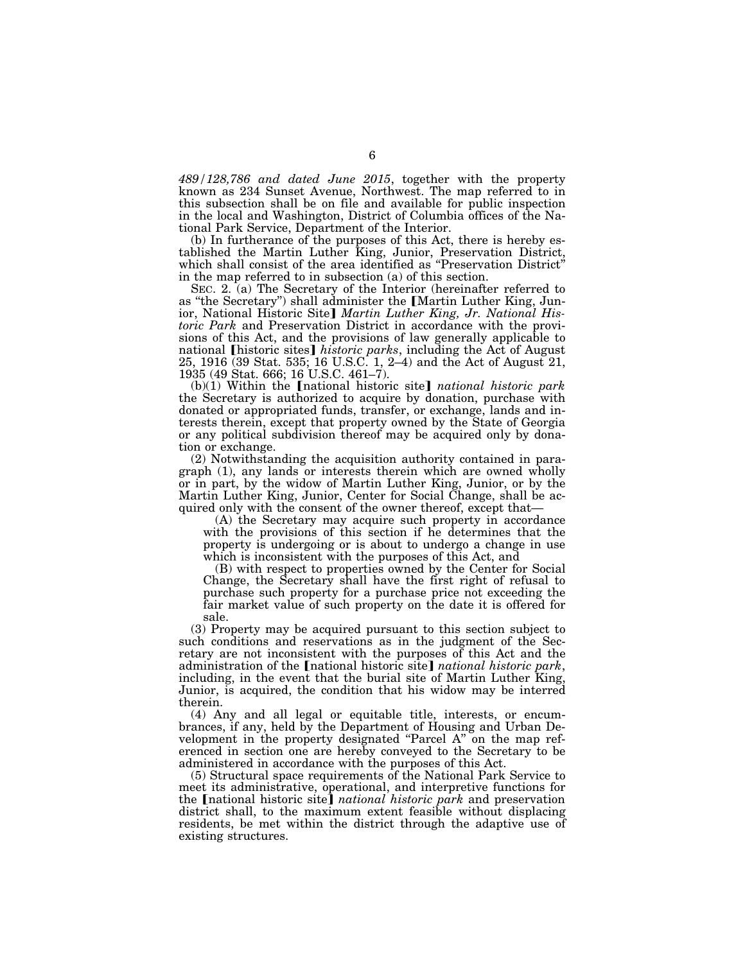*489/128,786 and dated June 2015*, together with the property known as 234 Sunset Avenue, Northwest. The map referred to in this subsection shall be on file and available for public inspection in the local and Washington, District of Columbia offices of the National Park Service, Department of the Interior.

(b) In furtherance of the purposes of this Act, there is hereby established the Martin Luther King, Junior, Preservation District, which shall consist of the area identified as "Preservation District" in the map referred to in subsection (a) of this section.

SEC. 2. (a) The Secretary of the Interior (hereinafter referred to as "the Secretary") shall administer the [Martin Luther King, Junior, National Historic Site] Martin Luther King, Jr. National His*toric Park* and Preservation District in accordance with the provisions of this Act, and the provisions of law generally applicable to national [historic sites] *historic parks*, including the Act of August 25, 1916 (39 Stat. 535; 16 U.S.C. 1, 2–4) and the Act of August 21, 1935 (49 Stat. 666; 16 U.S.C. 461–7).

 $(b)(1)$  Within the *[national historic site] national historic park* the Secretary is authorized to acquire by donation, purchase with donated or appropriated funds, transfer, or exchange, lands and interests therein, except that property owned by the State of Georgia or any political subdivision thereof may be acquired only by donation or exchange.

(2) Notwithstanding the acquisition authority contained in paragraph (1), any lands or interests therein which are owned wholly or in part, by the widow of Martin Luther King, Junior, or by the Martin Luther King, Junior, Center for Social Change, shall be acquired only with the consent of the owner thereof, except that—

(A) the Secretary may acquire such property in accordance with the provisions of this section if he determines that the property is undergoing or is about to undergo a change in use which is inconsistent with the purposes of this Act, and

(B) with respect to properties owned by the Center for Social Change, the Secretary shall have the first right of refusal to purchase such property for a purchase price not exceeding the fair market value of such property on the date it is offered for sale.

(3) Property may be acquired pursuant to this section subject to such conditions and reservations as in the judgment of the Secretary are not inconsistent with the purposes of this Act and the administration of the [national historic site] *national historic park*, including, in the event that the burial site of Martin Luther King, Junior, is acquired, the condition that his widow may be interred therein.

(4) Any and all legal or equitable title, interests, or encumbrances, if any, held by the Department of Housing and Urban Development in the property designated "Parcel A" on the map referenced in section one are hereby conveyed to the Secretary to be administered in accordance with the purposes of this Act.

(5) Structural space requirements of the National Park Service to meet its administrative, operational, and interpretive functions for the **[**national historic site] *national historic park* and preservation district shall, to the maximum extent feasible without displacing residents, be met within the district through the adaptive use of existing structures.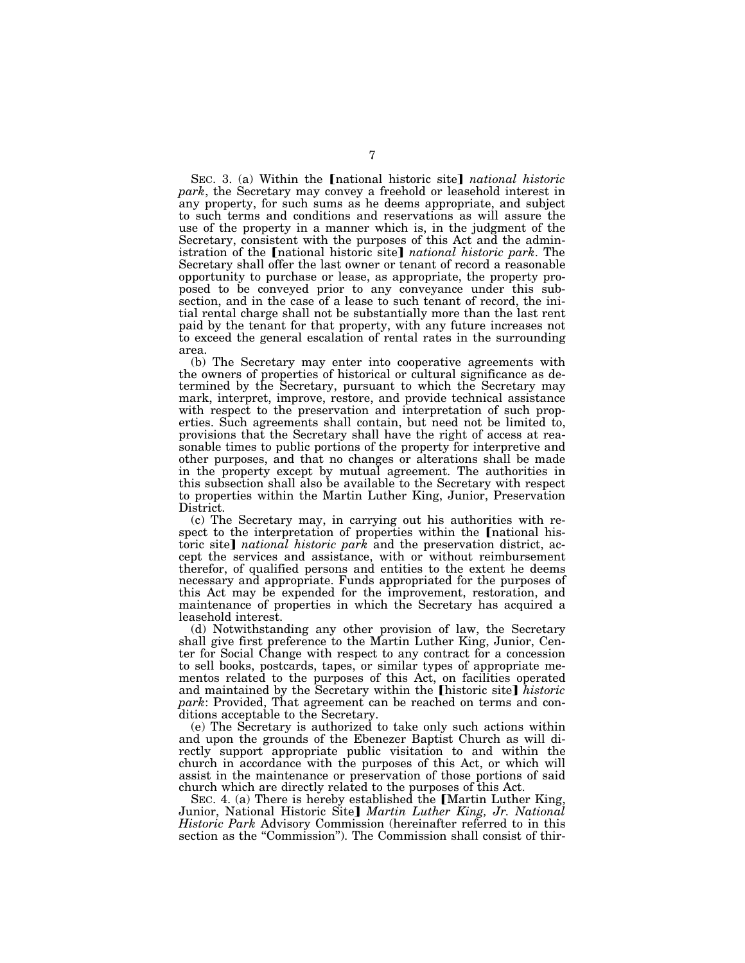SEC. 3. (a) Within the *Inational historic site national historic park*, the Secretary may convey a freehold or leasehold interest in any property, for such sums as he deems appropriate, and subject to such terms and conditions and reservations as will assure the use of the property in a manner which is, in the judgment of the Secretary, consistent with the purposes of this Act and the administration of the [national historic site] *national historic park*. The Secretary shall offer the last owner or tenant of record a reasonable opportunity to purchase or lease, as appropriate, the property proposed to be conveyed prior to any conveyance under this subsection, and in the case of a lease to such tenant of record, the initial rental charge shall not be substantially more than the last rent paid by the tenant for that property, with any future increases not to exceed the general escalation of rental rates in the surrounding area.

(b) The Secretary may enter into cooperative agreements with the owners of properties of historical or cultural significance as determined by the Secretary, pursuant to which the Secretary may mark, interpret, improve, restore, and provide technical assistance with respect to the preservation and interpretation of such properties. Such agreements shall contain, but need not be limited to, provisions that the Secretary shall have the right of access at reasonable times to public portions of the property for interpretive and other purposes, and that no changes or alterations shall be made in the property except by mutual agreement. The authorities in this subsection shall also be available to the Secretary with respect to properties within the Martin Luther King, Junior, Preservation District.

(c) The Secretary may, in carrying out his authorities with respect to the interpretation of properties within the [national historic site] *national historic park* and the preservation district, accept the services and assistance, with or without reimbursement therefor, of qualified persons and entities to the extent he deems necessary and appropriate. Funds appropriated for the purposes of this Act may be expended for the improvement, restoration, and maintenance of properties in which the Secretary has acquired a leasehold interest.

(d) Notwithstanding any other provision of law, the Secretary shall give first preference to the Martin Luther King, Junior, Center for Social Change with respect to any contract for a concession to sell books, postcards, tapes, or similar types of appropriate mementos related to the purposes of this Act, on facilities operated and maintained by the Secretary within the **[historic site]** historic *park*: Provided, That agreement can be reached on terms and conditions acceptable to the Secretary.

(e) The Secretary is authorized to take only such actions within and upon the grounds of the Ebenezer Baptist Church as will directly support appropriate public visitation to and within the church in accordance with the purposes of this Act, or which will assist in the maintenance or preservation of those portions of said church which are directly related to the purposes of this Act.

SEC. 4. (a) There is hereby established the [Martin Luther King, Junior, National Historic Site] *Martin Luther King, Jr. National Historic Park* Advisory Commission (hereinafter referred to in this section as the "Commission"). The Commission shall consist of thir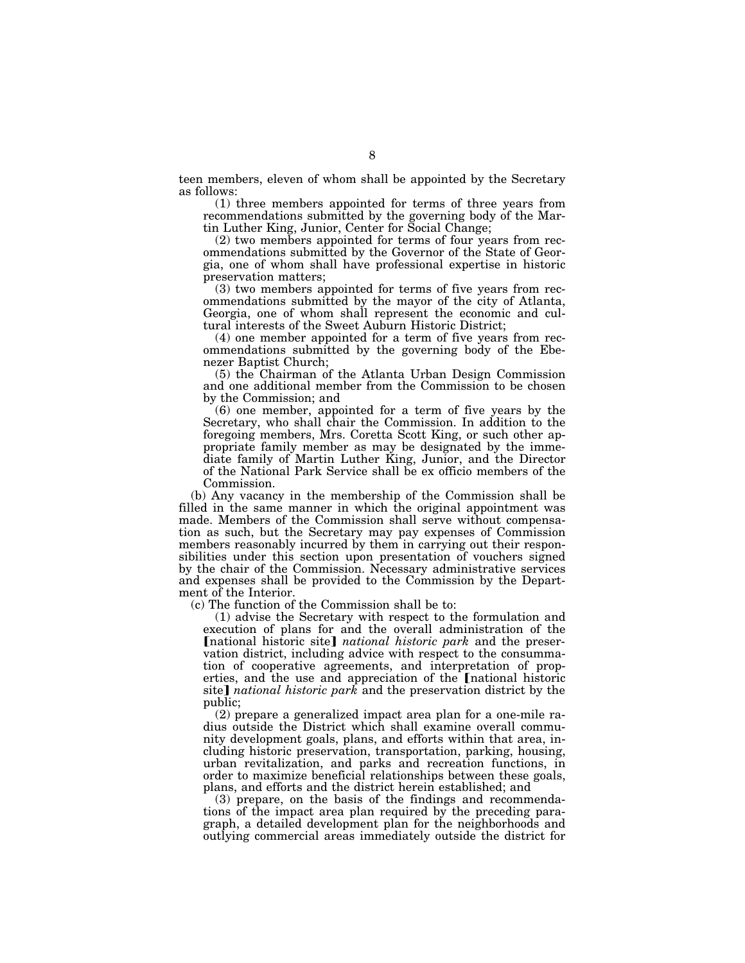teen members, eleven of whom shall be appointed by the Secretary as follows:

(1) three members appointed for terms of three years from recommendations submitted by the governing body of the Martin Luther King, Junior, Center for Social Change;

(2) two members appointed for terms of four years from recommendations submitted by the Governor of the State of Georgia, one of whom shall have professional expertise in historic preservation matters;

(3) two members appointed for terms of five years from recommendations submitted by the mayor of the city of Atlanta, Georgia, one of whom shall represent the economic and cultural interests of the Sweet Auburn Historic District;

(4) one member appointed for a term of five years from recommendations submitted by the governing body of the Ebenezer Baptist Church;

(5) the Chairman of the Atlanta Urban Design Commission and one additional member from the Commission to be chosen by the Commission; and

(6) one member, appointed for a term of five years by the Secretary, who shall chair the Commission. In addition to the foregoing members, Mrs. Coretta Scott King, or such other appropriate family member as may be designated by the immediate family of Martin Luther King, Junior, and the Director of the National Park Service shall be ex officio members of the Commission.

(b) Any vacancy in the membership of the Commission shall be filled in the same manner in which the original appointment was made. Members of the Commission shall serve without compensation as such, but the Secretary may pay expenses of Commission members reasonably incurred by them in carrying out their responsibilities under this section upon presentation of vouchers signed by the chair of the Commission. Necessary administrative services and expenses shall be provided to the Commission by the Department of the Interior.

(c) The function of the Commission shall be to:

(1) advise the Secretary with respect to the formulation and execution of plans for and the overall administration of the [national historic site] *national historic park* and the preservation district, including advice with respect to the consummation of cooperative agreements, and interpretation of properties, and the use and appreciation of the **[**national historic site] *national historic park* and the preservation district by the public;

(2) prepare a generalized impact area plan for a one-mile radius outside the District which shall examine overall community development goals, plans, and efforts within that area, including historic preservation, transportation, parking, housing, urban revitalization, and parks and recreation functions, in order to maximize beneficial relationships between these goals, plans, and efforts and the district herein established; and

(3) prepare, on the basis of the findings and recommendations of the impact area plan required by the preceding paragraph, a detailed development plan for the neighborhoods and outlying commercial areas immediately outside the district for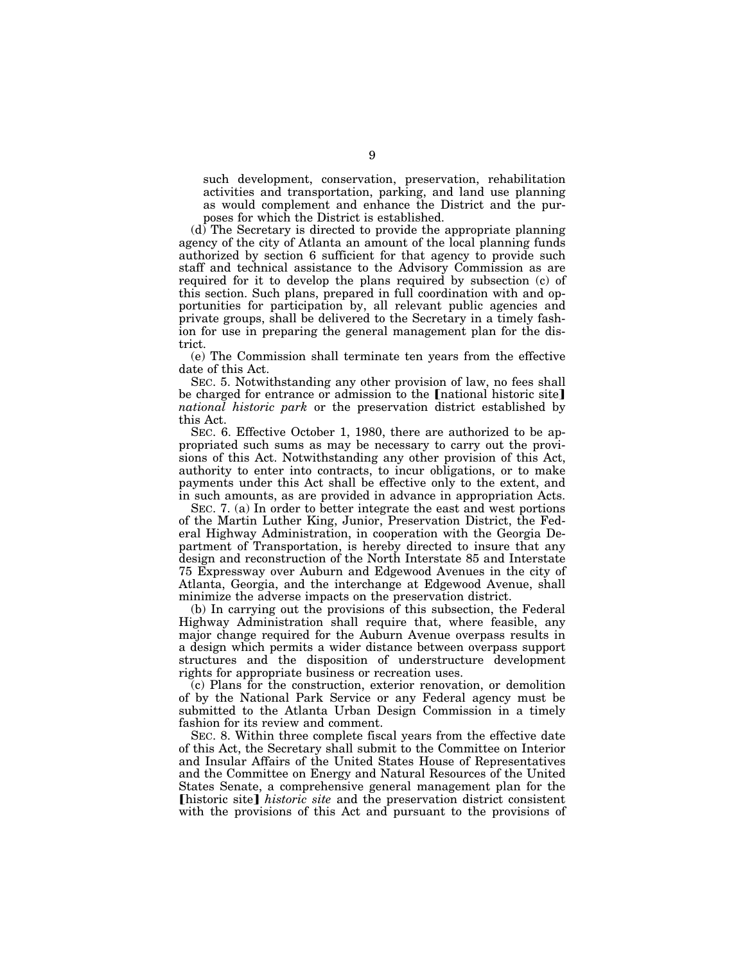such development, conservation, preservation, rehabilitation activities and transportation, parking, and land use planning as would complement and enhance the District and the purposes for which the District is established.

(d) The Secretary is directed to provide the appropriate planning agency of the city of Atlanta an amount of the local planning funds authorized by section 6 sufficient for that agency to provide such staff and technical assistance to the Advisory Commission as are required for it to develop the plans required by subsection (c) of this section. Such plans, prepared in full coordination with and opportunities for participation by, all relevant public agencies and private groups, shall be delivered to the Secretary in a timely fashion for use in preparing the general management plan for the district.

(e) The Commission shall terminate ten years from the effective date of this Act.

SEC. 5. Notwithstanding any other provision of law, no fees shall be charged for entrance or admission to the  $[$ national historic site $]$ *national historic park* or the preservation district established by this Act.

SEC. 6. Effective October 1, 1980, there are authorized to be appropriated such sums as may be necessary to carry out the provisions of this Act. Notwithstanding any other provision of this Act, authority to enter into contracts, to incur obligations, or to make payments under this Act shall be effective only to the extent, and in such amounts, as are provided in advance in appropriation Acts.

SEC. 7. (a) In order to better integrate the east and west portions of the Martin Luther King, Junior, Preservation District, the Federal Highway Administration, in cooperation with the Georgia Department of Transportation, is hereby directed to insure that any design and reconstruction of the North Interstate 85 and Interstate 75 Expressway over Auburn and Edgewood Avenues in the city of Atlanta, Georgia, and the interchange at Edgewood Avenue, shall minimize the adverse impacts on the preservation district.

(b) In carrying out the provisions of this subsection, the Federal Highway Administration shall require that, where feasible, any major change required for the Auburn Avenue overpass results in a design which permits a wider distance between overpass support structures and the disposition of understructure development rights for appropriate business or recreation uses.

(c) Plans for the construction, exterior renovation, or demolition of by the National Park Service or any Federal agency must be submitted to the Atlanta Urban Design Commission in a timely fashion for its review and comment.

SEC. 8. Within three complete fiscal years from the effective date of this Act, the Secretary shall submit to the Committee on Interior and Insular Affairs of the United States House of Representatives and the Committee on Energy and Natural Resources of the United States Senate, a comprehensive general management plan for the **[historic site]** historic site and the preservation district consistent with the provisions of this Act and pursuant to the provisions of